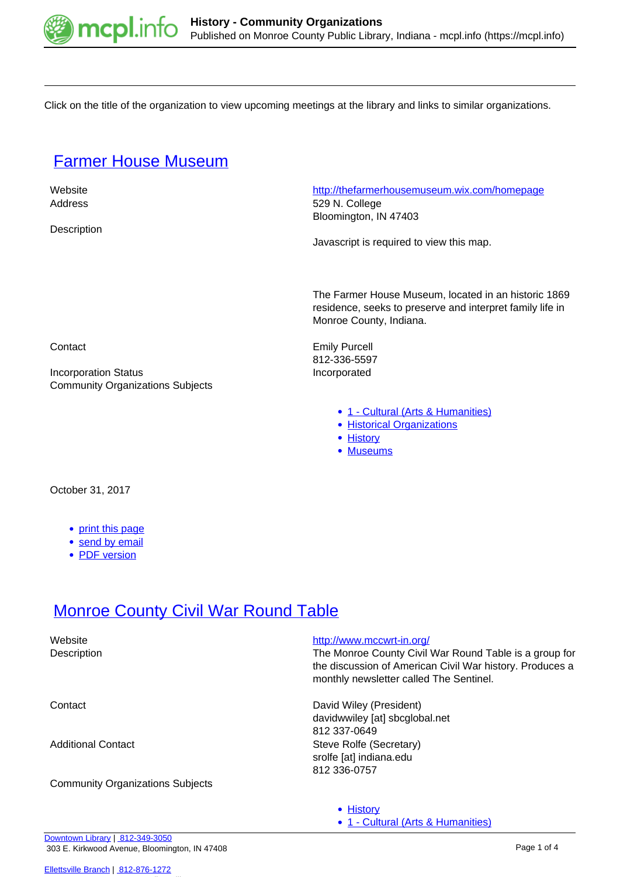

Click on the title of the organization to view upcoming meetings at the library and links to similar organizations.

#### [Farmer House Museum](https://mcpl.info/commorg/farmer-house-museum)

**Description** 

 Website <http://thefarmerhousemuseum.wix.com/homepage> Address 529 N. College Bloomington, IN 47403

Javascript is required to view this map.

The Farmer House Museum, located in an historic 1869 residence, seeks to preserve and interpret family life in Monroe County, Indiana.

Contact **Emily Purcell** 812-336-5597

• [1 - Cultural \(Arts & Humanities\)](https://mcpl.info/community-organization-subjects/24945)

• [1 - Cultural \(Arts & Humanities\)](https://mcpl.info/community-organization-subjects/24945)

- [Historical Organizations](https://mcpl.info/taxonomy/term/25024)
- [History](https://mcpl.info/taxonomy/term/25025)
- [Museums](https://mcpl.info/taxonomy/term/25028)

Incorporation Status **Incorporated** Community Organizations Subjects

October 31, 2017

- [print this page](https://mcpl.info/print/commorg/farmer-house-museum)
- [send by email](https://mcpl.info/printmail/commorg/farmer-house-museum)
- [PDF version](https://mcpl.info/printpdf/commorg/farmer-house-museum)

### **[Monroe County Civil War Round Table](https://mcpl.info/commorg/monroe-county-civil-war-round-table)**

| Website<br>Description                  | http://www.mccwrt-in.org/<br>The Monroe County Civil War Round Table is a group for<br>the discussion of American Civil War history. Produces a<br>monthly newsletter called The Sentinel. |
|-----------------------------------------|--------------------------------------------------------------------------------------------------------------------------------------------------------------------------------------------|
| Contact                                 | David Wiley (President)<br>davidwwiley [at] sbcglobal.net<br>812 337-0649                                                                                                                  |
| Additional Contact                      | Steve Rolfe (Secretary)<br>srolfe [at] indiana.edu<br>812 336-0757                                                                                                                         |
| <b>Community Organizations Subjects</b> |                                                                                                                                                                                            |
|                                         | • History                                                                                                                                                                                  |

[Downtown Library](https://mcpl.info/geninfo/downtown-library) | [812-349-3050](tel:812-349-3050) 303 E. Kirkwood Avenue, Bloomington, IN 47408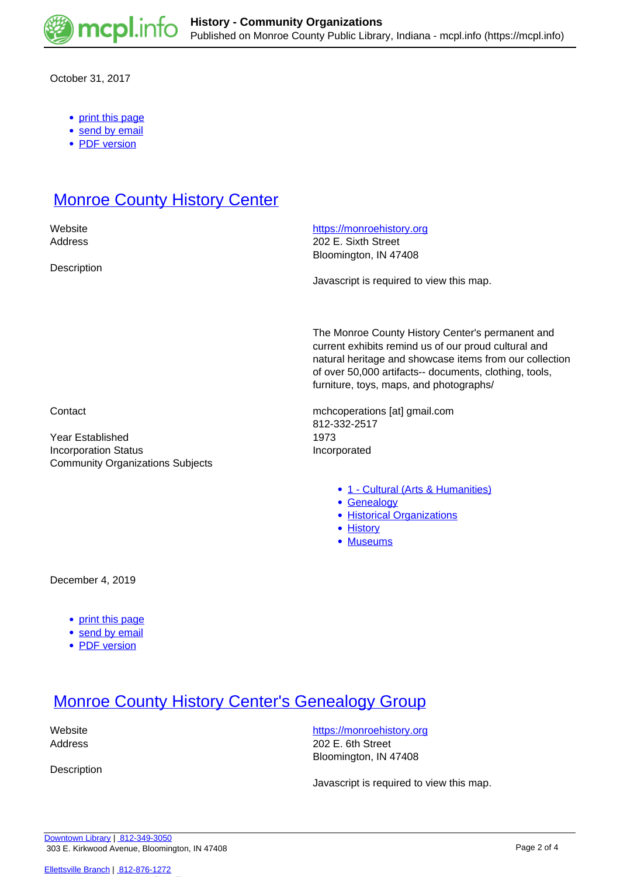

October 31, 2017

- [print this page](https://mcpl.info/print/commorg/monroe-county-civil-war-round-table)
- [send by email](https://mcpl.info/printmail/commorg/monroe-county-civil-war-round-table)
- [PDF version](https://mcpl.info/printpdf/commorg/monroe-county-civil-war-round-table)

## **[Monroe County History Center](https://mcpl.info/commorg/monroe-county-history-center-0)**

**Description** 

Website **<https://monroehistory.org>** 

Address 202 E. Sixth Street Bloomington, IN 47408

Javascript is required to view this map.

The Monroe County History Center's permanent and current exhibits remind us of our proud cultural and natural heritage and showcase items from our collection of over 50,000 artifacts-- documents, clothing, tools, furniture, toys, maps, and photographs/

Contact mchcoperations [at] gmail.com 812-332-2517

- [1 Cultural \(Arts & Humanities\)](https://mcpl.info/community-organization-subjects/24945)
- [Genealogy](https://mcpl.info/taxonomy/term/25022)
- [Historical Organizations](https://mcpl.info/taxonomy/term/25024)
- **[History](https://mcpl.info/taxonomy/term/25025)**
- [Museums](https://mcpl.info/taxonomy/term/25028)

Year Established 1973 Incorporation Status **Incorporated** Community Organizations Subjects

December 4, 2019

- [print this page](https://mcpl.info/print/commorg/monroe-county-history-center-0)
- [send by email](https://mcpl.info/printmail/commorg/monroe-county-history-center-0)
- [PDF version](https://mcpl.info/printpdf/commorg/monroe-county-history-center-0)

### **[Monroe County History Center's Genealogy Group](https://mcpl.info/commorg/monroe-county-history-centers-genealogy-group)**

Description

website **<https://monroehistory.org>** Address 202 E. 6th Street Bloomington, IN 47408

Javascript is required to view this map.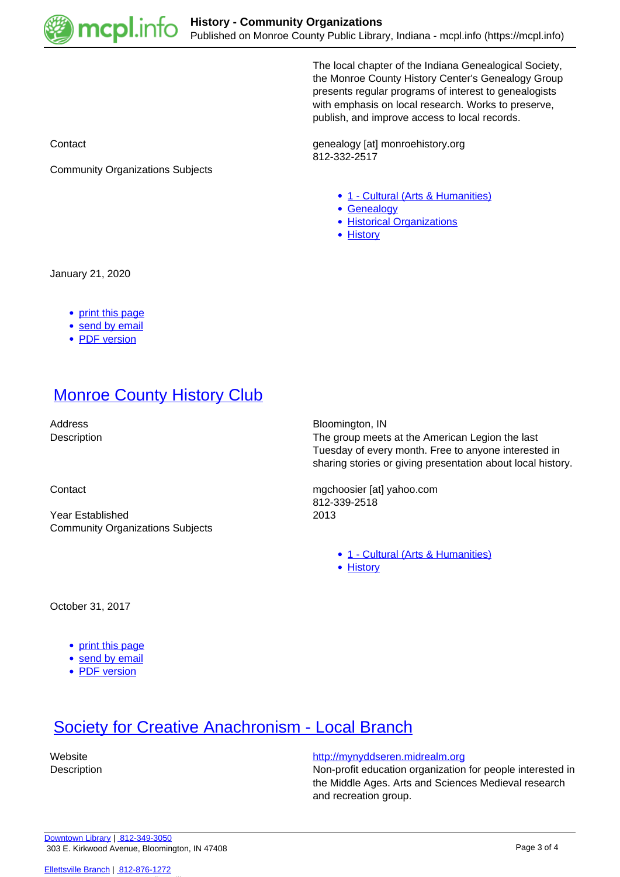

The local chapter of the Indiana Genealogical Society, the Monroe County History Center's Genealogy Group presents regular programs of interest to genealogists with emphasis on local research. Works to preserve, publish, and improve access to local records.

Contact Contact Contact Contact Contact Contact Contact Contact Contact Contact Contact Contact Contact Contact Contact Contact Contact Contact Contact Contact Contact Contact Contact Contact Contact Contact Contact Contac 812-332-2517

- [1 Cultural \(Arts & Humanities\)](https://mcpl.info/community-organization-subjects/24945)
- [Genealogy](https://mcpl.info/taxonomy/term/25022)
- [Historical Organizations](https://mcpl.info/taxonomy/term/25024)
- [History](https://mcpl.info/taxonomy/term/25025)

Community Organizations Subjects

January 21, 2020

- [print this page](https://mcpl.info/print/commorg/monroe-county-history-centers-genealogy-group)
- [send by email](https://mcpl.info/printmail/commorg/monroe-county-history-centers-genealogy-group)
- [PDF version](https://mcpl.info/printpdf/commorg/monroe-county-history-centers-genealogy-group)

# **[Monroe County History Club](https://mcpl.info/commorg/monroe-county-history-club)**

Year Established 2013 Community Organizations Subjects

Address Bloomington, IN

Description **Description The group meets at the American Legion the last** Tuesday of every month. Free to anyone interested in sharing stories or giving presentation about local history.

Contact mgchoosier [at] yahoo.com 812-339-2518

[1 - Cultural \(Arts & Humanities\)](https://mcpl.info/community-organization-subjects/24945)

• [History](https://mcpl.info/taxonomy/term/25025)

October 31, 2017

- [print this page](https://mcpl.info/print/commorg/monroe-county-history-club)
- [send by email](https://mcpl.info/printmail/commorg/monroe-county-history-club)
- [PDF version](https://mcpl.info/printpdf/commorg/monroe-county-history-club)

### **[Society for Creative Anachronism - Local Branch](https://mcpl.info/commorg/society-creative-anachronism-local-branch)**

Website **<http://mynyddseren.midrealm.org>** 

Description Non-profit education organization for people interested in the Middle Ages. Arts and Sciences Medieval research and recreation group.